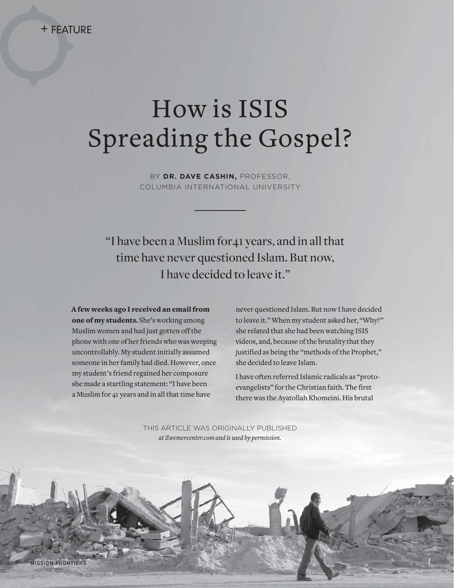## How is ISIS Spreading the Gospel?

BY **DR. DAVE CASHIN,** PROFESSOR, COLUMBIA INTERNATIONAL UNIVERSITY

"I have been a Muslim for41 years, and in all that time have never questioned Islam. But now, I have decided to leave it."

A few weeks ago I received an email from one of my students. She's working among Muslim women and had just gotten off the phone with one of her friends who was weeping uncontrollably. My student initially assumed someone in her family had died. However, once my student's friend regained her composure she made a startling statement: "I have been a Muslim for 41 years and in all that time have

never questioned Islam. But now I have decided to leave it." When my student asked her, "Why?" she related that she had been watching ISIS videos, and, because of the brutality that they justified as being the "methods of the Prophet," she decided to leave Islam.

I have often referred Islamic radicals as "protoevangelists" for the Christian faith. The first there was the Ayatollah Khomeini. His brutal

THIS ARTICLE WAS ORIGINALLY PUBLISHED *at Zwemercenter.com and is used by permission.*